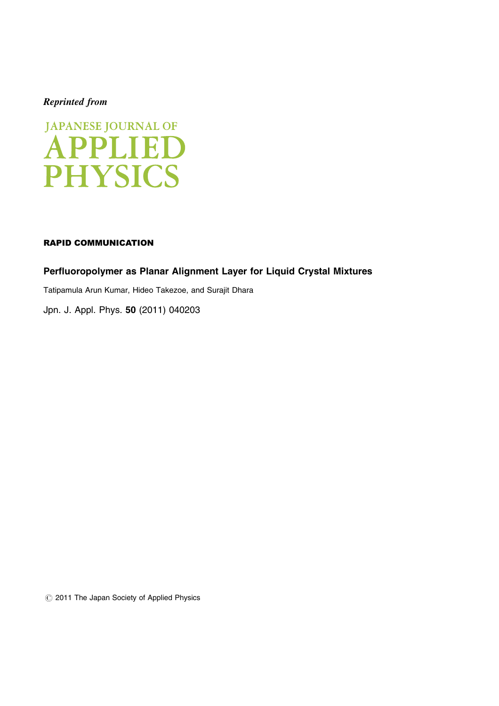# Reprinted from



### RAPID COMMUNICATION

# Perfluoropolymer as Planar Alignment Layer for Liquid Crystal Mixtures

Tatipamula Arun Kumar, Hideo Takezoe, and Surajit Dhara

[Jpn. J. Appl. Phys.](http://dx.doi.org/10.1143/JJAP.50.040203) 50 (2011) 040203

*#* 2011 The Japan Society of Applied Physics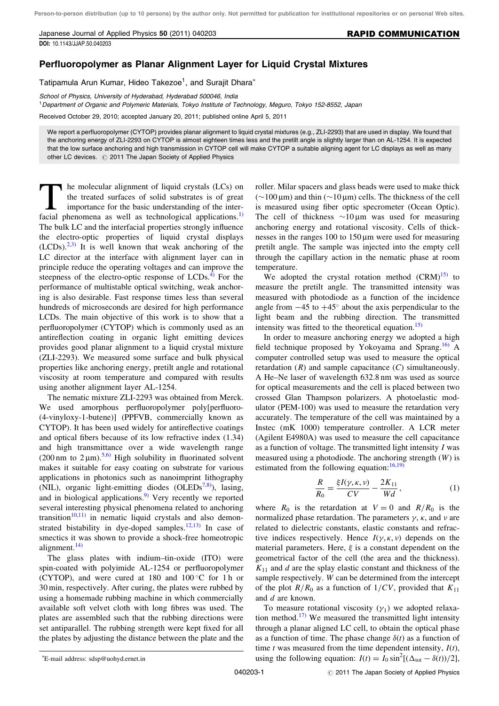Japanese Journal of Applied Physics 50 (2011) 040203 [DOI:](http://dx.doi.org/10.1143/JJAP.50.040203) [10.1143/JJAP.50.040203](http://dx.doi.org/10.1143/JJAP.50.040203)

### RAPID COMMUNICATION

## Perfluoropolymer as Planar Alignment Layer for Liquid Crystal Mixtures

Tatipamula Arun Kumar, Hideo Takezoe<sup>1</sup>, and Surajit Dhara<sup>\*</sup>

School of Physics, University of Hyderabad, Hyderabad 500046, India <sup>1</sup>Department of Organic and Polymeric Materials, Tokyo Institute of Technology, Meguro, Tokyo 152-8552, Japan

Received October 29, 2010; accepted January 20, 2011; published online April 5, 2011

We report a perfluoropolymer (CYTOP) provides planar alignment to liquid crystal mixtures (e.g., ZLI-2293) that are used in display. We found that the anchoring energy of ZLI-2293 on CYTOP is almost eighteen times less and the pretilt angle is slightly larger than on AL-1254. It is expected that the low surface anchoring and high transmission in CYTOP cell will make CYTOP a suitable aligning agent for LC displays as well as many other LC devices. @ 2011 The Japan Society of Applied Physics

The molecular alignment of liquid crystals (LCs) on<br>the treated surfaces of solid substrates is of great<br>importance for the basic understanding of the inter-<br>facial phenomena as well as technological applications  $\frac{1}{2}$ the treated surfaces of solid substrates is of great importance for the basic understanding of the interfacial phenomena as well as technological applications.<sup>1)</sup> The bulk LC and the interfacial properties strongly influence the electro-optic properties of liquid crystal displays  $(LCDs).^{2,3}$  It is well known that weak anchoring of the LC director at the interface with alignment layer can in principle reduce the operating voltages and can improve the steepness of the electro-optic response of  $LCDs<sup>4</sup>$ . For the performance of multistable optical switching, weak anchoring is also desirable. Fast response times less than several hundreds of microseconds are desired for high performance LCDs. The main objective of this work is to show that a perfluoropolymer (CYTOP) which is commonly used as an antireflection coating in organic light emitting devices provides good planar alignment to a liquid crystal mixture (ZLI-2293). We measured some surface and bulk physical properties like anchoring energy, pretilt angle and rotational viscosity at room temperature and compared with results using another alignment layer AL-1254.

The nematic mixture ZLI-2293 was obtained from Merck. We used amorphous perfluoropolymer poly[perfluoro- (4-vinyloxy-1-butene)] (PPFVB, commercially known as CYTOP). It has been used widely for antireflective coatings and optical fibers because of its low refractive index (1.34) and high transmittance over a wide wavelength range (200 nm to  $2 \mu m$ ).<sup>[5,6\)](#page-3-0)</sup> High solubility in fluorinated solvent makes it suitable for easy coating on substrate for various applications in photonics such as nanoimprint lithography (NIL), organic light-emitting diodes (OLEDs $^{7,8}$ ), lasing, and in biological applications. $9$  Very recently we reported several interesting physical phenomena related to anchoring transition<sup>[10,11\)](#page-3-0)</sup> in nematic liquid crystals and also demon-strated bistability in dye-doped samples.<sup>[12,13\)](#page-3-0)</sup> In case of smectics it was shown to provide a shock-free homeotropic alignment. $^{14)}$  $^{14)}$  $^{14)}$ 

The glass plates with indium–tin-oxide (ITO) were spin-coated with polyimide AL-1254 or perfluoropolymer (CYTOP), and were cured at 180 and  $100^{\circ}$ C for 1 h or 30 min, respectively. After curing, the plates were rubbed by using a homemade rubbing machine in which commercially available soft velvet cloth with long fibres was used. The plates are assembled such that the rubbing directions were set antiparallel. The rubbing strength were kept fixed for all the plates by adjusting the distance between the plate and the

We adopted the crystal rotation method  $(CRM)^{15}$  to measure the pretilt angle. The transmitted intensity was measured with photodiode as a function of the incidence angle from  $-45$  to  $+45^{\circ}$  about the axis perpendicular to the light beam and the rubbing direction. The transmitted intensity was fitted to the theoretical equation.<sup>[15\)](#page-3-0)</sup>

In order to measure anchoring energy we adopted a high field technique proposed by Yokoyama and Sprang.<sup>[16\)](#page-3-0)</sup> A computer controlled setup was used to measure the optical retardation  $(R)$  and sample capacitance  $(C)$  simultaneously. A He–Ne laser of wavelength 632.8 nm was used as source for optical measurements and the cell is placed between two crossed Glan Thampson polarizers. A photoelastic modulator (PEM-100) was used to measure the retardation very accurately. The temperature of the cell was maintained by a Instec (mK 1000) temperature controller. A LCR meter (Agilent E4980A) was used to measure the cell capacitance as a function of voltage. The transmitted light intensity  $I$  was measured using a photodiode. The anchoring strength  $(W)$  is estimated from the following equation:  $16,19$ )

$$
\frac{R}{R_0} = \frac{\xi I(\gamma, \kappa, \nu)}{CV} - \frac{2K_{11}}{Wd},
$$
\n(1)

where  $R_0$  is the retardation at  $V = 0$  and  $R/R_0$  is the normalized phase retardation. The parameters  $\gamma$ ,  $\kappa$ , and  $\nu$  are related to dielectric constants, elastic constants and refractive indices respectively. Hence  $I(\gamma, \kappa, \nu)$  depends on the material parameters. Here,  $\xi$  is a constant dependent on the geometrical factor of the cell (the area and the thickness).  $K_{11}$  and d are the splay elastic constant and thickness of the sample respectively. W can be determined from the intercept of the plot  $R/R_0$  as a function of  $1/CV$ , provided that  $K_{11}$ and d are known.

To measure rotational viscosity  $(\gamma_1)$  we adopted relaxa-tion method.<sup>[17\)](#page-3-0)</sup> We measured the transmitted light intensity through a planar aligned LC cell, to obtain the optical phase as a function of time. The phase change  $\delta(t)$  as a function of time t was measured from the time dependent intensity,  $I(t)$ , E-mail address: sdsp@uohyd.ernet.in using the following equation:  $I(t) = I_0 \sin^2[(\Delta_{\text{tot}} - \delta(t))/2]$ ,

roller. Milar spacers and glass beads were used to make thick  $(\sim 100 \,\mu m)$  and thin  $(\sim 10 \,\mu m)$  cells. The thickness of the cell is measured using fiber optic specrometer (Ocean Optic). The cell of thickness  $\sim 10 \,\mu m$  was used for measuring anchoring energy and rotational viscosity. Cells of thicknesses in the ranges  $100$  to  $150 \mu m$  were used for measuring pretilt angle. The sample was injected into the empty cell through the capillary action in the nematic phase at room temperature.

E-mail address: sdsp@uohyd.ernet.in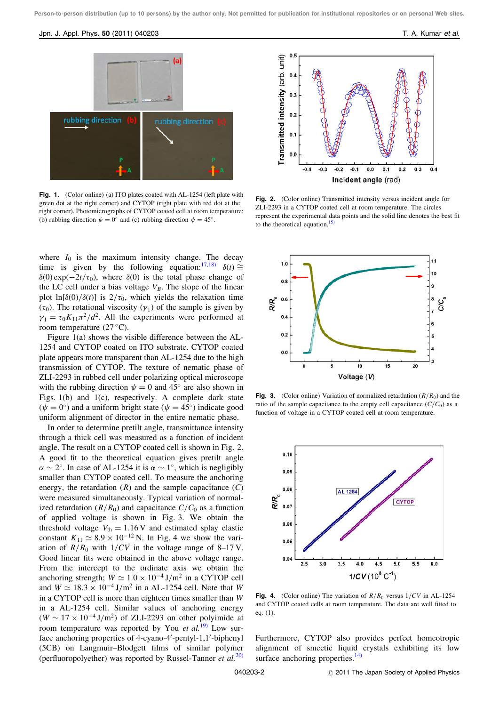#### Jpn. J. Appl. Phys. 50 (2011) 040203 **T. A. Kumar et al.** Appl. **T. A. Kumar et al.** T. A. Kumar et al.



Fig. 1. (Color online) (a) ITO plates coated with AL-1254 (left plate with green dot at the right corner) and CYTOP (right plate with red dot at the right corner). Photomicrographs of CYTOP coated cell at room temperature: (b) rubbing direction  $\psi = 0^{\circ}$  and (c) rubbing direction  $\psi = 45^{\circ}$ .

where  $I_0$  is the maximum intensity change. The decay time is given by the following equation:<sup>[17,18\)](#page-3-0)</sup>  $\delta(t) \cong$  $\delta(0)$  exp $(-2t/\tau_0)$ , where  $\delta(0)$  is the total phase change of the LC cell under a bias voltage  $V_B$ . The slope of the linear plot ln $[\delta(0)/\delta(t)]$  is  $2/\tau_0$ , which yields the relaxation time  $(\tau_0)$ . The rotational viscosity  $(\gamma_1)$  of the sample is given by  $\nu_1 = \tau_0 K_{11} \pi^2 / d^2$ . All the experiments were performed at room temperature  $(27 \degree C)$ .

Figure 1(a) shows the visible difference between the AL-1254 and CYTOP coated on ITO substrate. CYTOP coated plate appears more transparent than AL-1254 due to the high transmission of CYTOP. The texture of nematic phase of ZLI-2293 in rubbed cell under polarizing optical microscope with the rubbing direction  $\psi = 0$  and 45° are also shown in Figs. 1(b) and 1(c), respectively. A complete dark state  $(\psi = 0^{\degree})$  and a uniform bright state  $(\psi = 45^{\degree})$  indicate good uniform alignment of director in the entire nematic phase.

In order to determine pretilt angle, transmittance intensity through a thick cell was measured as a function of incident angle. The result on a CYTOP coated cell is shown in Fig. 2. A good fit to the theoretical equation gives pretilt angle  $\alpha \sim 2^{\circ}$ . In case of AL-1254 it is  $\alpha \sim 1^{\circ}$ , which is negligibly smaller than CYTOP coated cell. To measure the anchoring energy, the retardation  $(R)$  and the sample capacitance  $(C)$ were measured simultaneously. Typical variation of normalized retardation  $(R/R_0)$  and capacitance  $C/C_0$  as a function of applied voltage is shown in Fig. 3. We obtain the threshold voltage  $V_{\text{th}} = 1.16 \text{V}$  and estimated splay elastic constant  $K_{11} \simeq 8.9 \times 10^{-12}$  N. In Fig. 4 we show the variation of  $R/R_0$  with  $1/CV$  in the voltage range of 8–17 V. Good linear fits were obtained in the above voltage range. From the intercept to the ordinate axis we obtain the anchoring strength;  $W \simeq 1.0 \times 10^{-4} \text{ J/m}^2$  in a CYTOP cell and  $W \simeq 18.3 \times 10^{-4}$  J/m<sup>2</sup> in a AL-1254 cell. Note that W in a CYTOP cell is more than eighteen times smaller than W in a AL-1254 cell. Similar values of anchoring energy  $(W \sim 17 \times 10^{-4} \text{ J/m}^2)$  of ZLI-2293 on other polyimide at room temperature was reported by You et  $al$ <sup>[19\)](#page-3-0)</sup> Low surface anchoring properties of 4-cyano-4'-pentyl-1,1'-biphenyl (5CB) on Langmuir–Blodgett films of similar polymer (perfluoropolyether) was reported by Russel-Tanner et  $al$ .<sup>[20\)](#page-3-0)</sup>



Fig. 2. (Color online) Transmitted intensity versus incident angle for ZLI-2293 in a CYTOP coated cell at room temperature. The circles represent the experimental data points and the solid line denotes the best fit to the theoretical equation[.15\)](#page-3-0)



**Fig. 3.** (Color online) Variation of normalized retardation  $(R/R_0)$  and the ratio of the sample capacitance to the empty cell capacitance  $(C/C_0)$  as a function of voltage in a CYTOP coated cell at room temperature.



Fig. 4. (Color online) The variation of  $R/R_0$  versus  $1/CV$  in AL-1254 and CYTOP coated cells at room temperature. The data are well fitted to eq. (1).

Furthermore, CYTOP also provides perfect homeotropic alignment of smectic liquid crystals exhibiting its low surface anchoring properties. $^{14)}$  $^{14)}$  $^{14)}$